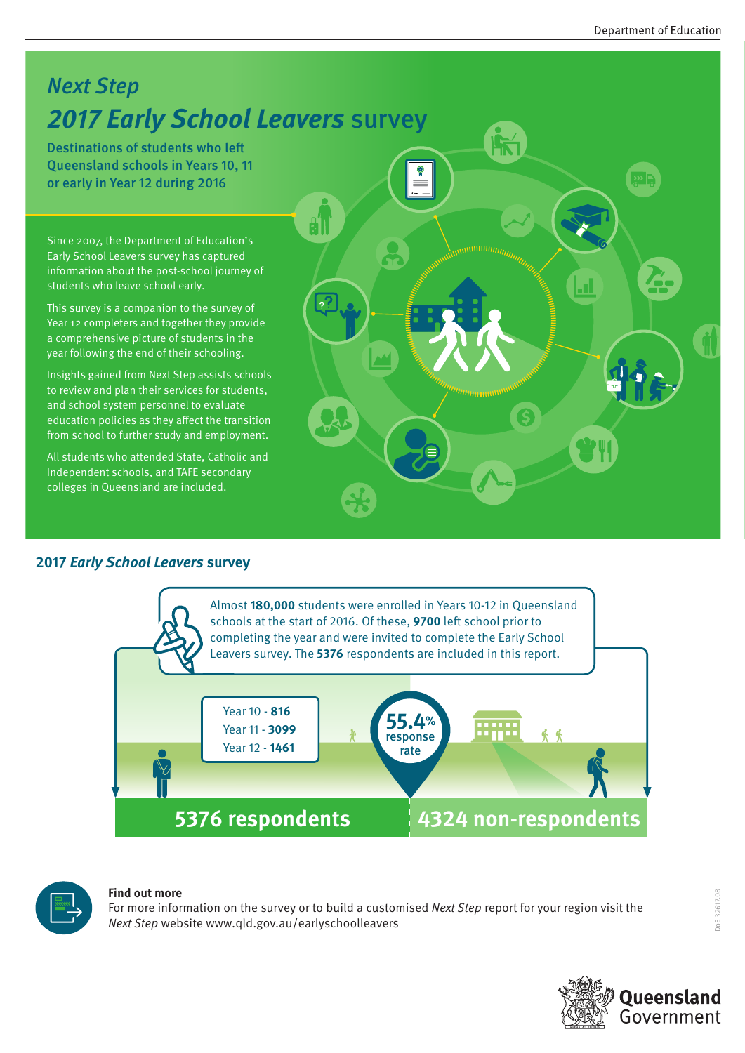### Next Step **2017 Early School Leavers** survey

Destinations of students who left Queensland schools in Years 10, 11 or early in Year 12 during 2016

Since 2007, the Department of Education's Early School Leavers survey has captured information about the post-school journey of students who leave school early.

This survey is a companion to the survey of Year 12 completers and together they provide a comprehensive picture of students in the year following the end of their schooling.

Insights gained from Next Step assists schools to review and plan their services for students, and school system personnel to evaluate education policies as they affect the transition from school to further study and employment.

All students who attended State, Catholic and Independent schools, and TAFE secondary colleges in Queensland are included.

#### **2017 Early School Leavers survey**





#### **Find out more**

For more information on the survey or to build a customised Next Step report for your region visit the Next Step website www.qld.gov.au/earlyschoolleavers

DoE 32617.08

06 32617.08

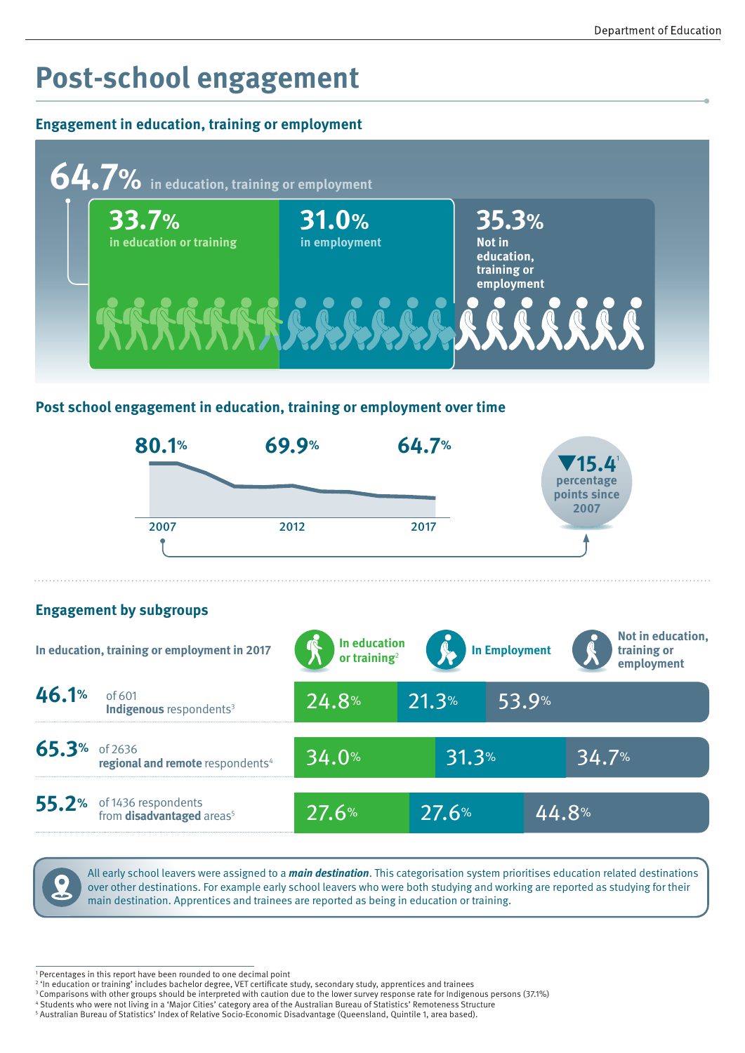# **Post-school engagement**

#### **Engagement in education, training or employment**



#### **Post school engagement in education, training or employment over time**



All early school leavers were assigned to a **main destination**. This categorisation system prioritises education related destinations over other destinations. For example early school leavers who were both studying and working are reported as studying for their main destination. Apprentices and trainees are reported as being in education or training.

<sup>1</sup> Percentages in this report have been rounded to one decimal point

<sup>2</sup> 'In education or training' includes bachelor degree, VET certificate study, secondary study, apprentices and trainees

<sup>&</sup>lt;sup>3</sup> Comparisons with other groups should be interpreted with caution due to the lower survey response rate for Indigenous persons (37.1%)

<sup>4</sup> Students who were not living in a 'Major Cities' category area of the Australian Bureau of Statistics' Remoteness Structure 5 Australian Bureau of Statistics' Index of Relative Socio-Economic Disadvantage (Queensland, Quintile 1, area based).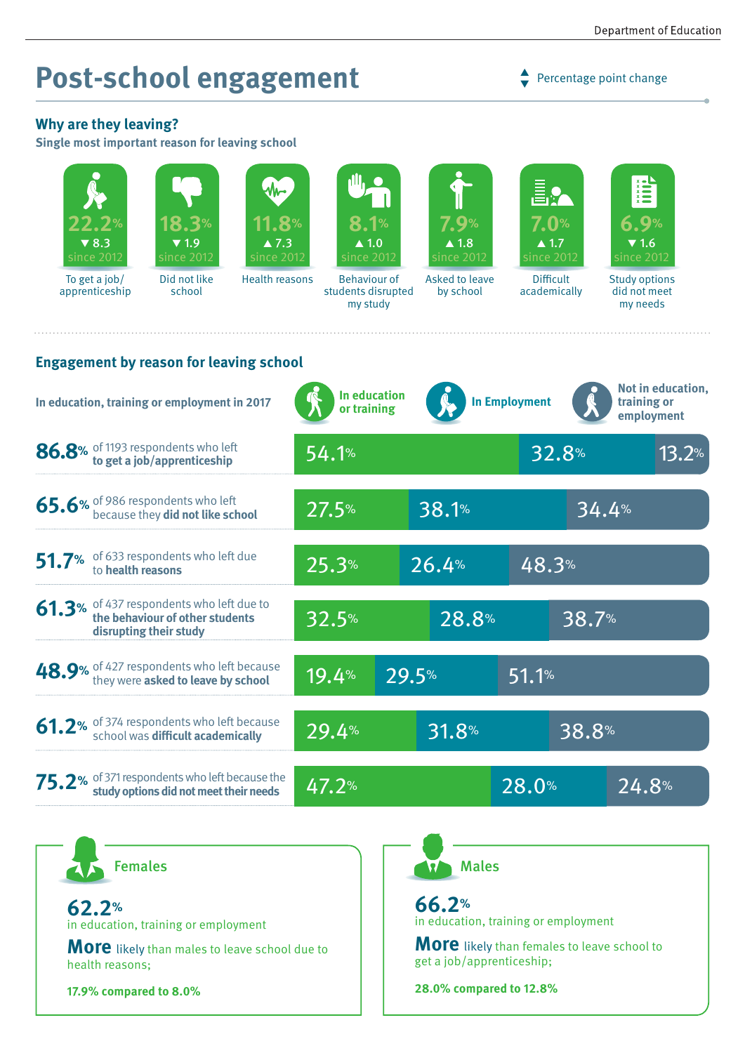# **Post-school engagement**

 $\rightarrow$  Percentage point change

#### **Why are they leaving?**

**Single most important reason for leaving school**

| $\blacktriangledown 8.3$<br>since 2012                                                                                                                                                                  | 18.3%<br>$\blacktriangledown$ 1.9<br>$\overline{\text{s}}$ ince 2012 | 11.8%<br>$\blacktriangle$ 7.3<br>since 2012 | 8.1%<br>$\blacktriangle$ 1.0<br>since 2012                                           |       | 7.9%<br>$\blacktriangle$ 1.8<br>since 2012 | Ē.<br>7.0%<br>$\blacktriangle$ 1.7<br>since 2012 | $\blacktriangledown$ 1.6<br>since 2012           |
|---------------------------------------------------------------------------------------------------------------------------------------------------------------------------------------------------------|----------------------------------------------------------------------|---------------------------------------------|--------------------------------------------------------------------------------------|-------|--------------------------------------------|--------------------------------------------------|--------------------------------------------------|
| To get a job/<br>apprenticeship                                                                                                                                                                         | Did not like<br>school                                               | <b>Health reasons</b>                       | <b>Behaviour of</b><br>Asked to leave<br>students disrupted<br>by school<br>my study |       |                                            | <b>Difficult</b><br>academically                 | <b>Study options</b><br>did not meet<br>my needs |
| <b>Engagement by reason for leaving school</b><br>Not in education,<br>In education<br><b>In Employment</b><br>In education, training or employment in 2017<br>training or<br>or training<br>employment |                                                                      |                                             |                                                                                      |       |                                            |                                                  |                                                  |
| 86.8% of 1193 respondents who left<br>to get a job/apprenticeship                                                                                                                                       |                                                                      |                                             | 54.1%                                                                                |       |                                            | 32.8%                                            | 13.2%                                            |
| 65.6% of 986 respondents who left<br>because they did not like school                                                                                                                                   |                                                                      |                                             | 27.5%                                                                                | 38.1% |                                            |                                                  | 34.4%                                            |
| 51.7% of 633 respondents who left due<br>to health reasons                                                                                                                                              |                                                                      |                                             | 25.3%                                                                                |       | 26.4%<br>48.3%                             |                                                  |                                                  |
| 61.3% of 437 respondents who left due to<br>the behaviour of other students<br>disrupting their study                                                                                                   |                                                                      |                                             | 32.5%                                                                                | 28.8% |                                            | 38.7%                                            |                                                  |
| 48.9% of 427 respondents who left because<br>they were asked to leave by school                                                                                                                         |                                                                      |                                             | 19.4%                                                                                | 29.5% |                                            | 51.1%                                            |                                                  |
| 61.2% of 374 respondents who left because<br>school was difficult academically                                                                                                                          |                                                                      |                                             | 29.4%                                                                                | 31.8% |                                            | 38.8%                                            |                                                  |
| 75.2% of 371 respondents who left because the<br>study options did not meet their needs                                                                                                                 |                                                                      |                                             | 47.2%                                                                                |       | 28.0%                                      |                                                  | 24.8%                                            |

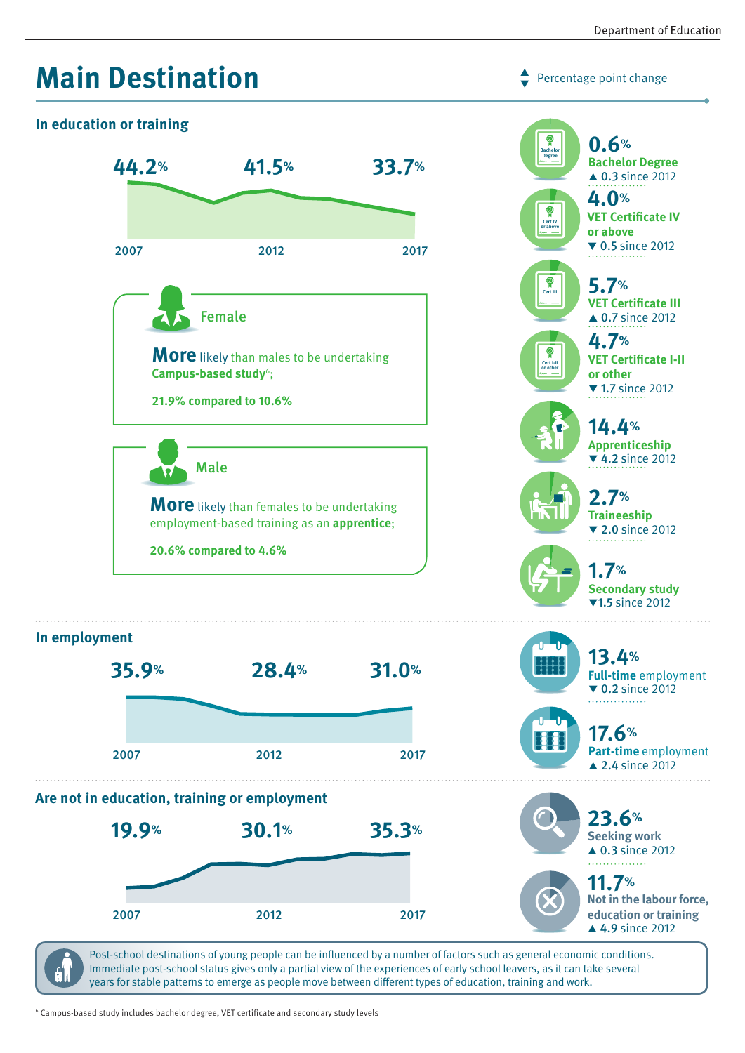

Post-school destinations of young people can be influenced by a number of factors such as general economic conditions. Immediate post-school status gives only a partial view of the experiences of early school leavers, as it can take several years for stable patterns to emerge as people move between different types of education, training and work.

6 Campus-based study includes bachelor degree, VET certificate and secondary study levels

91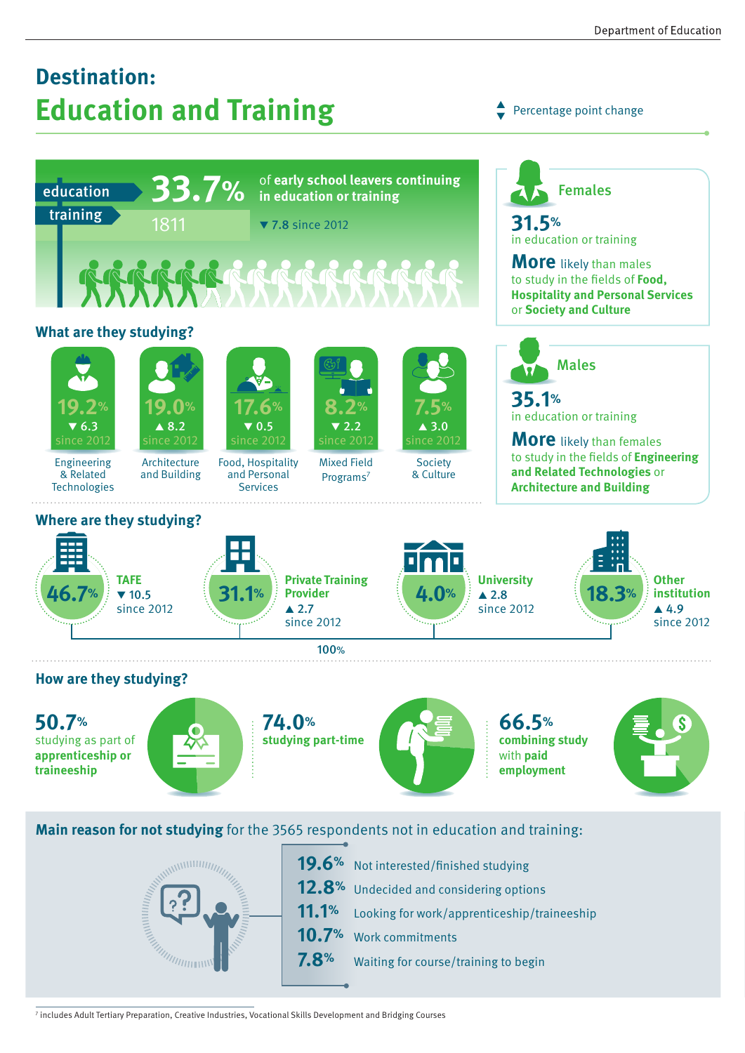## **Destination: Education and Training**

Percentage point change  $\blacktriangledown$ 



**Main reason for not studying** for the 3565 respondents not in education and training:



19.6% Not interested/finished studying 12.8% Undecided and considering options **11.1%** Looking for work/apprenticeship/traineeship **10.7%** Work commitments **7.8%** Waiting for course/training to begin

7 includes Adult Tertiary Preparation, Creative Industries, Vocational Skills Development and Bridging Courses